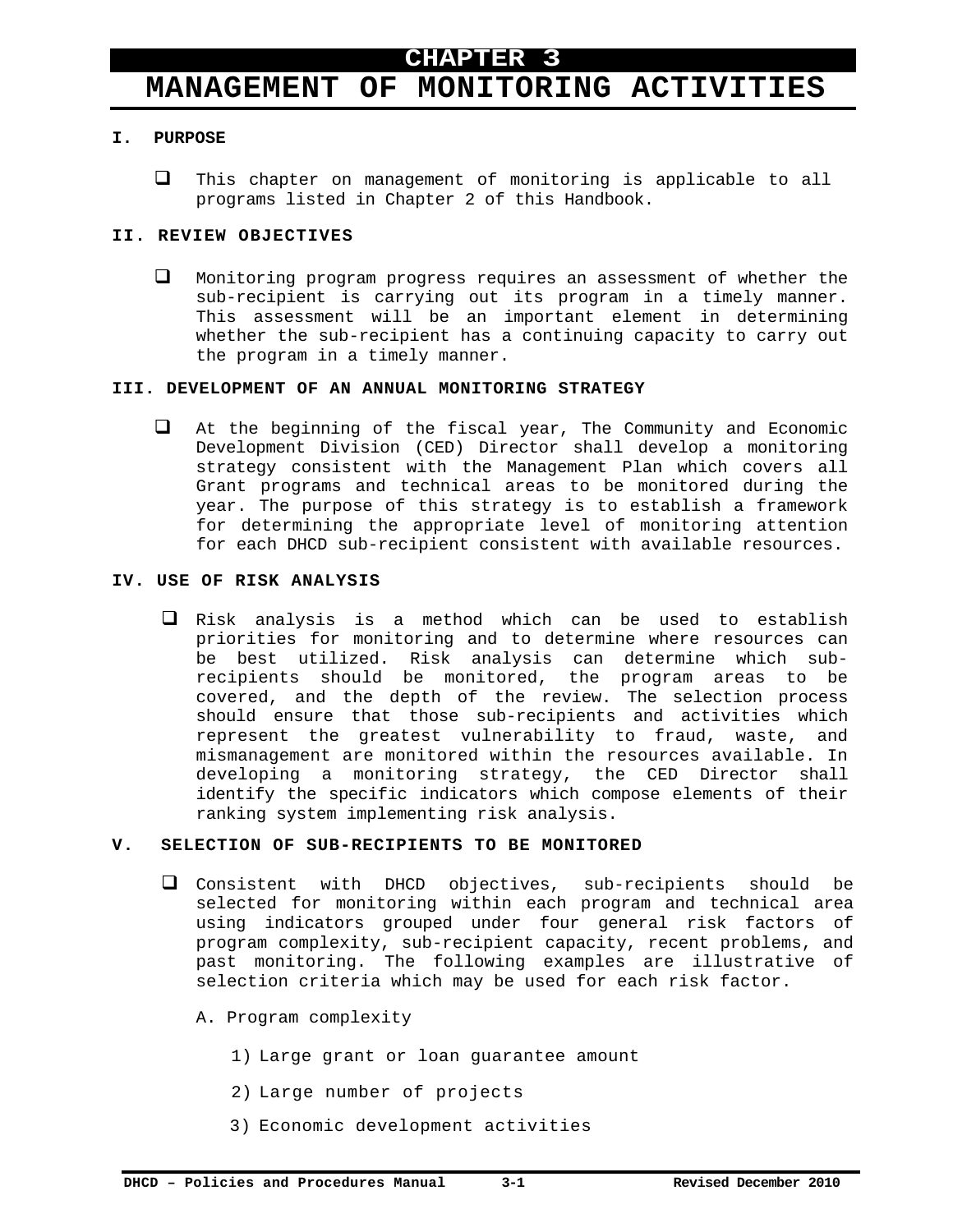# **MANAGEMENT OF MONITORING ACTIVITIES**

# **I. PURPOSE**

 $\Box$  This chapter on management of monitoring is applicable to all programs listed in Chapter 2 of this Handbook.

# **II. REVIEW OBJECTIVES**

 Monitoring program progress requires an assessment of whether the sub-recipient is carrying out its program in a timely manner. This assessment will be an important element in determining whether the sub-recipient has a continuing capacity to carry out the program in a timely manner.

# **III. DEVELOPMENT OF AN ANNUAL MONITORING STRATEGY**

 At the beginning of the fiscal year, The Community and Economic Development Division (CED) Director shall develop a monitoring strategy consistent with the Management Plan which covers all Grant programs and technical areas to be monitored during the year. The purpose of this strategy is to establish a framework for determining the appropriate level of monitoring attention for each DHCD sub-recipient consistent with available resources.

# **IV. USE OF RISK ANALYSIS**

 $\square$  Risk analysis is a method which can be used to establish priorities for monitoring and to determine where resources can be best utilized. Risk analysis can determine which subrecipients should be monitored, the program areas to be covered, and the depth of the review. The selection process should ensure that those sub-recipients and activities which represent the greatest vulnerability to fraud, waste, and mismanagement are monitored within the resources available. In developing a monitoring strategy, the CED Director shall identify the specific indicators which compose elements of their ranking system implementing risk analysis.

#### **V. SELECTION OF SUB-RECIPIENTS TO BE MONITORED**

- Consistent with DHCD objectives, sub-recipients should be selected for monitoring within each program and technical area using indicators grouped under four general risk factors of program complexity, sub-recipient capacity, recent problems, and past monitoring. The following examples are illustrative of selection criteria which may be used for each risk factor.
	- A. Program complexity
		- 1) Large grant or loan guarantee amount
		- 2) Large number of projects
		- 3) Economic development activities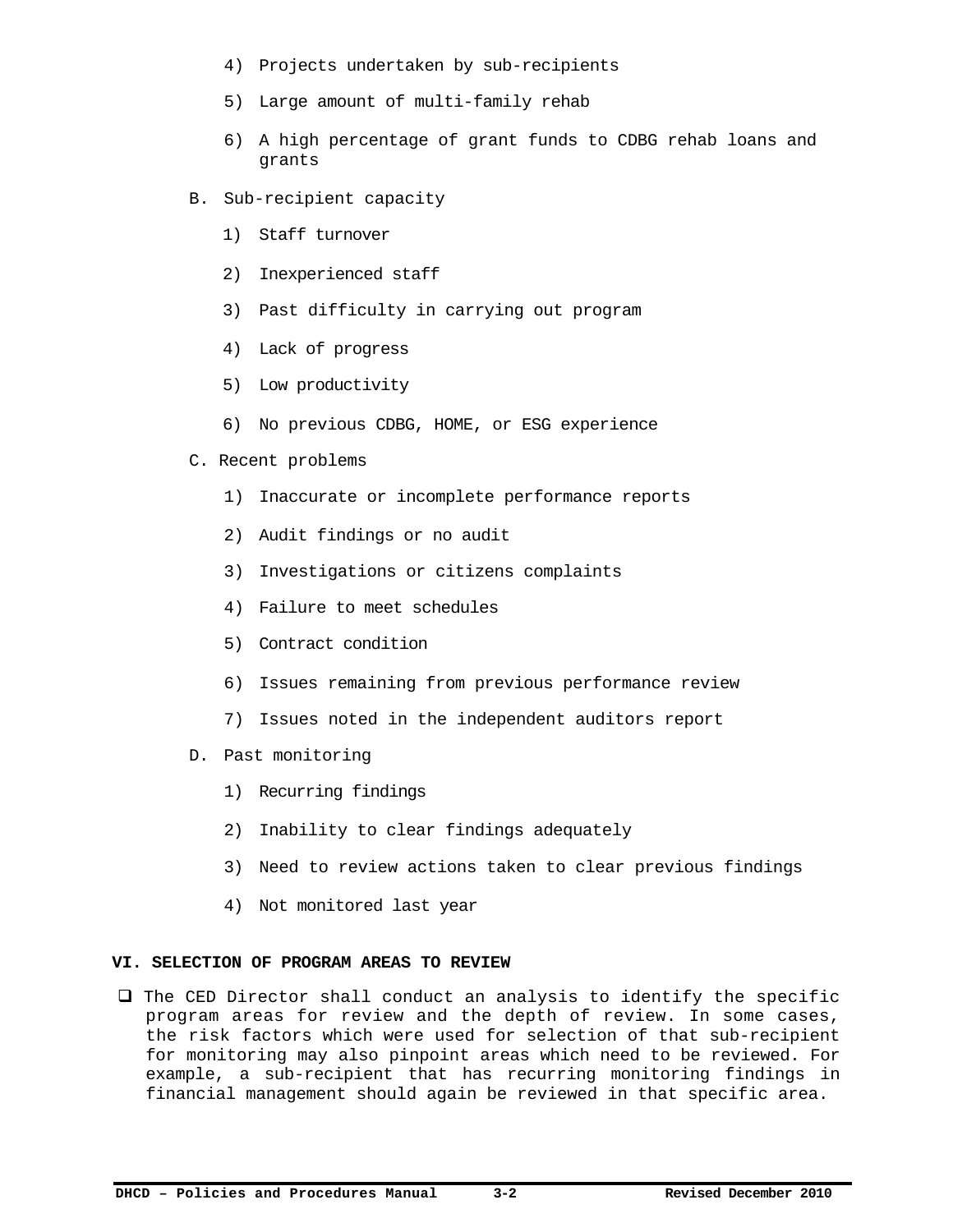- 4) Projects undertaken by sub-recipients
- 5) Large amount of multi-family rehab
- 6) A high percentage of grant funds to CDBG rehab loans and grants
- B. Sub-recipient capacity
	- 1) Staff turnover
	- 2) Inexperienced staff
	- 3) Past difficulty in carrying out program
	- 4) Lack of progress
	- 5) Low productivity
	- 6) No previous CDBG, HOME, or ESG experience
- C. Recent problems
	- 1) Inaccurate or incomplete performance reports
	- 2) Audit findings or no audit
	- 3) Investigations or citizens complaints
	- 4) Failure to meet schedules
	- 5) Contract condition
	- 6) Issues remaining from previous performance review
	- 7) Issues noted in the independent auditors report
- D. Past monitoring
	- 1) Recurring findings
	- 2) Inability to clear findings adequately
	- 3) Need to review actions taken to clear previous findings
	- 4) Not monitored last year

# **VI. SELECTION OF PROGRAM AREAS TO REVIEW**

 $\Box$  The CED Director shall conduct an analysis to identify the specific program areas for review and the depth of review. In some cases, the risk factors which were used for selection of that sub-recipient for monitoring may also pinpoint areas which need to be reviewed. For example, a sub-recipient that has recurring monitoring findings in financial management should again be reviewed in that specific area.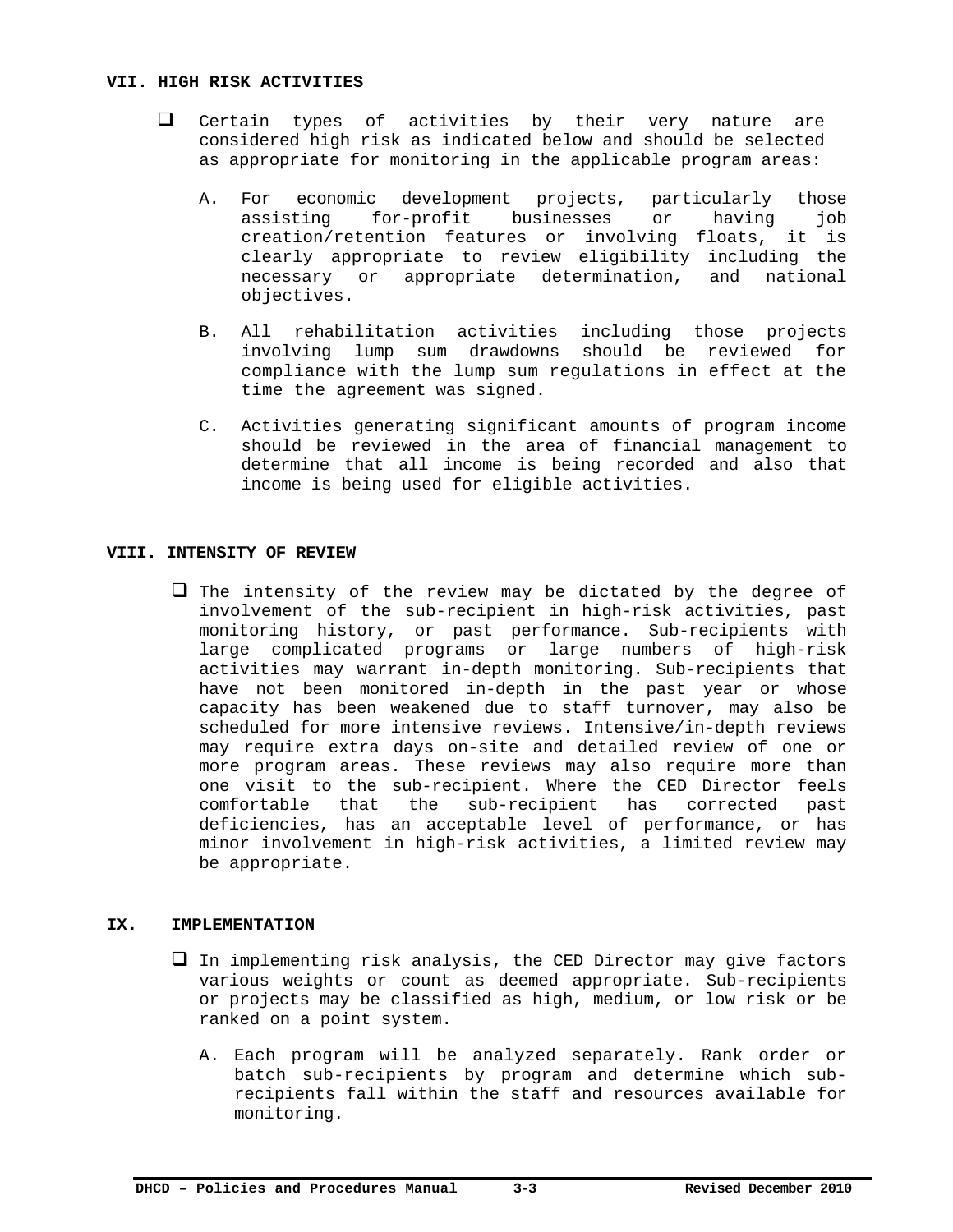#### **VII. HIGH RISK ACTIVITIES**

- $\Box$  Certain types of activities by their very nature are considered high risk as indicated below and should be selected as appropriate for monitoring in the applicable program areas:
	- A. For economic development projects, particularly those assisting for-profit businesses or having job creation/retention features or involving floats, it is clearly appropriate to review eligibility including the necessary or appropriate determination, and national objectives.
	- B. All rehabilitation activities including those projects involving lump sum drawdowns should be reviewed for compliance with the lump sum regulations in effect at the time the agreement was signed.
	- C. Activities generating significant amounts of program income should be reviewed in the area of financial management to determine that all income is being recorded and also that income is being used for eligible activities.

#### **VIII. INTENSITY OF REVIEW**

 $\Box$  The intensity of the review may be dictated by the degree of involvement of the sub-recipient in high-risk activities, past monitoring history, or past performance. Sub-recipients with large complicated programs or large numbers of high-risk activities may warrant in-depth monitoring. Sub-recipients that have not been monitored in-depth in the past year or whose capacity has been weakened due to staff turnover, may also be scheduled for more intensive reviews. Intensive/in-depth reviews may require extra days on-site and detailed review of one or more program areas. These reviews may also require more than one visit to the sub-recipient. Where the CED Director feels comfortable that the sub-recipient has corrected past deficiencies, has an acceptable level of performance, or has minor involvement in high-risk activities, a limited review may be appropriate.

#### **IX. IMPLEMENTATION**

- $\Box$  In implementing risk analysis, the CED Director may give factors various weights or count as deemed appropriate. Sub-recipients or projects may be classified as high, medium, or low risk or be ranked on a point system.
	- A. Each program will be analyzed separately. Rank order or batch sub-recipients by program and determine which subrecipients fall within the staff and resources available for monitoring.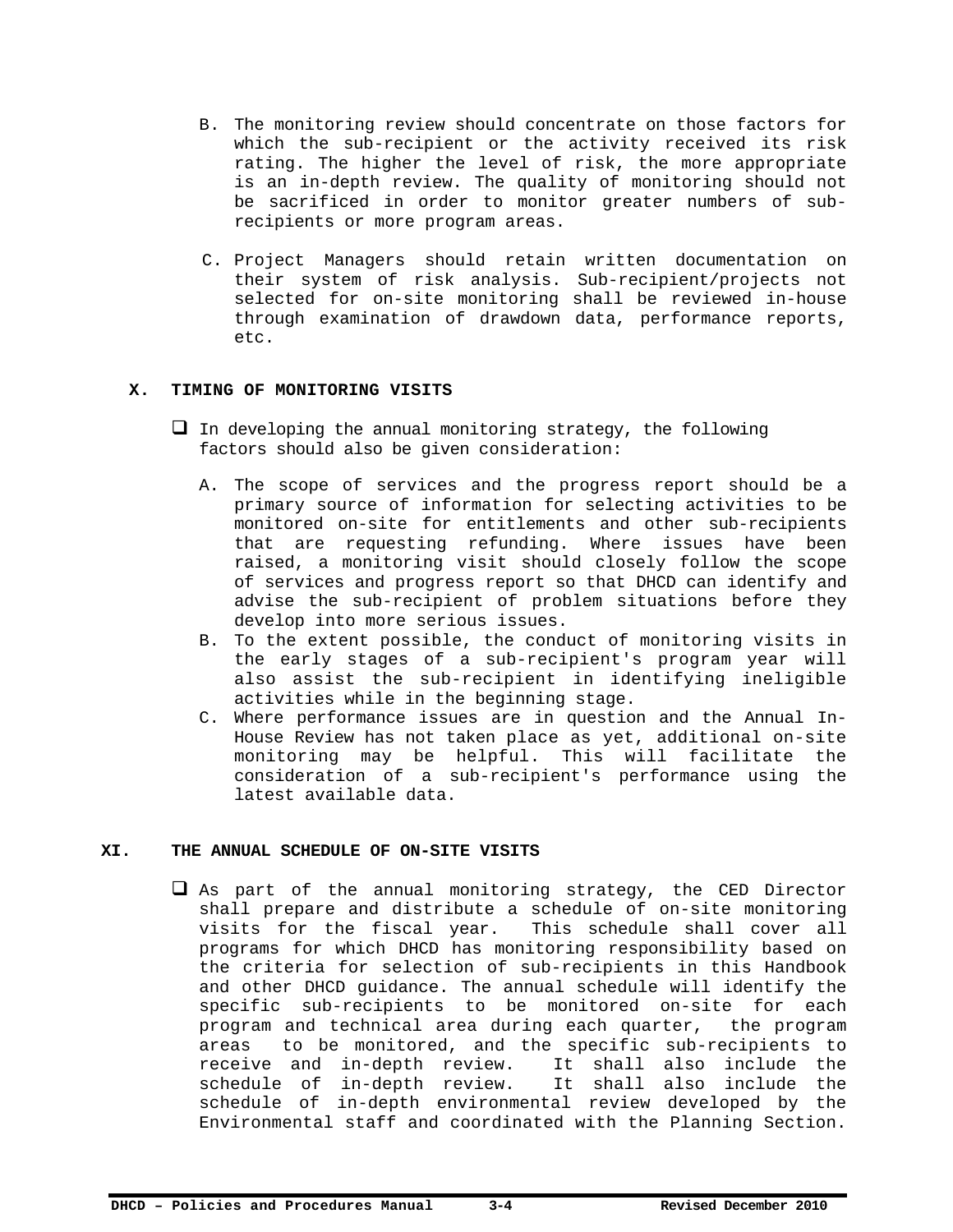- B. The monitoring review should concentrate on those factors for which the sub-recipient or the activity received its risk rating. The higher the level of risk, the more appropriate is an in-depth review. The quality of monitoring should not be sacrificed in order to monitor greater numbers of subrecipients or more program areas.
- C. Project Managers should retain written documentation on their system of risk analysis. Sub-recipient/projects not selected for on-site monitoring shall be reviewed in-house through examination of drawdown data, performance reports, etc.

#### **X. TIMING OF MONITORING VISITS**

- $\Box$  In developing the annual monitoring strategy, the following factors should also be given consideration:
	- A. The scope of services and the progress report should be a primary source of information for selecting activities to be monitored on-site for entitlements and other sub-recipients that are requesting refunding. Where issues have been raised, a monitoring visit should closely follow the scope of services and progress report so that DHCD can identify and advise the sub-recipient of problem situations before they develop into more serious issues.
	- B. To the extent possible, the conduct of monitoring visits in the early stages of a sub-recipient's program year will also assist the sub-recipient in identifying ineligible activities while in the beginning stage.
	- C. Where performance issues are in question and the Annual In-House Review has not taken place as yet, additional on-site monitoring may be helpful. This will facilitate the consideration of a sub-recipient's performance using the latest available data.

#### **XI. THE ANNUAL SCHEDULE OF ON-SITE VISITS**

 $\Box$  As part of the annual monitoring strategy, the CED Director shall prepare and distribute a schedule of on-site monitoring visits for the fiscal year. This schedule shall cover all programs for which DHCD has monitoring responsibility based on the criteria for selection of sub-recipients in this Handbook and other DHCD guidance. The annual schedule will identify the specific sub-recipients to be monitored on-site for each program and technical area during each quarter, the program areas to be monitored, and the specific sub-recipients to receive and in-depth review. It shall also include the schedule of in-depth review. It shall also include the schedule of in-depth environmental review developed by the Environmental staff and coordinated with the Planning Section.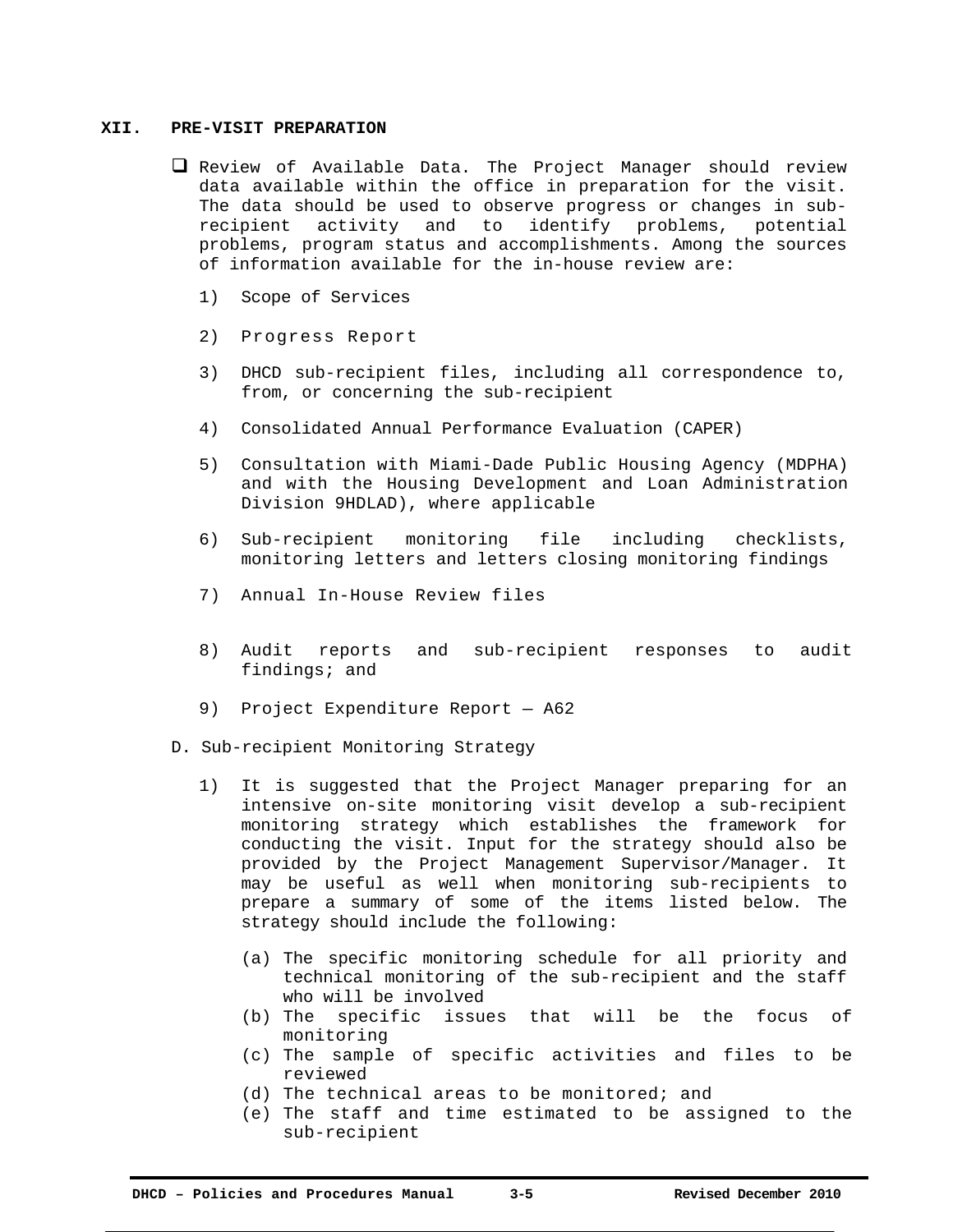#### **XII. PRE-VISIT PREPARATION**

- $\Box$  Review of Available Data. The Project Manager should review data available within the office in preparation for the visit. The data should be used to observe progress or changes in subrecipient activity and to identify problems, potential problems, program status and accomplishments. Among the sources of information available for the in-house review are:
	- 1) Scope of Services
	- 2) Progress Report
	- 3) DHCD sub-recipient files, including all correspondence to, from, or concerning the sub-recipient
	- 4) Consolidated Annual Performance Evaluation (CAPER)
	- 5) Consultation with Miami-Dade Public Housing Agency (MDPHA) and with the Housing Development and Loan Administration Division 9HDLAD), where applicable
	- 6) Sub-recipient monitoring file including checklists, monitoring letters and letters closing monitoring findings
	- 7) Annual In-House Review files
	- 8) Audit reports and sub-recipient responses to audit findings; and
	- 9) Project Expenditure Report A62
- D. Sub-recipient Monitoring Strategy
	- 1) It is suggested that the Project Manager preparing for an intensive on-site monitoring visit develop a sub-recipient monitoring strategy which establishes the framework for conducting the visit. Input for the strategy should also be provided by the Project Management Supervisor/Manager. It may be useful as well when monitoring sub-recipients to prepare a summary of some of the items listed below. The strategy should include the following:
		- (a) The specific monitoring schedule for all priority and technical monitoring of the sub-recipient and the staff who will be involved
		- (b) The specific issues that will be the focus of monitoring
		- (c) The sample of specific activities and files to be reviewed
		- (d) The technical areas to be monitored; and
		- (e) The staff and time estimated to be assigned to the sub-recipient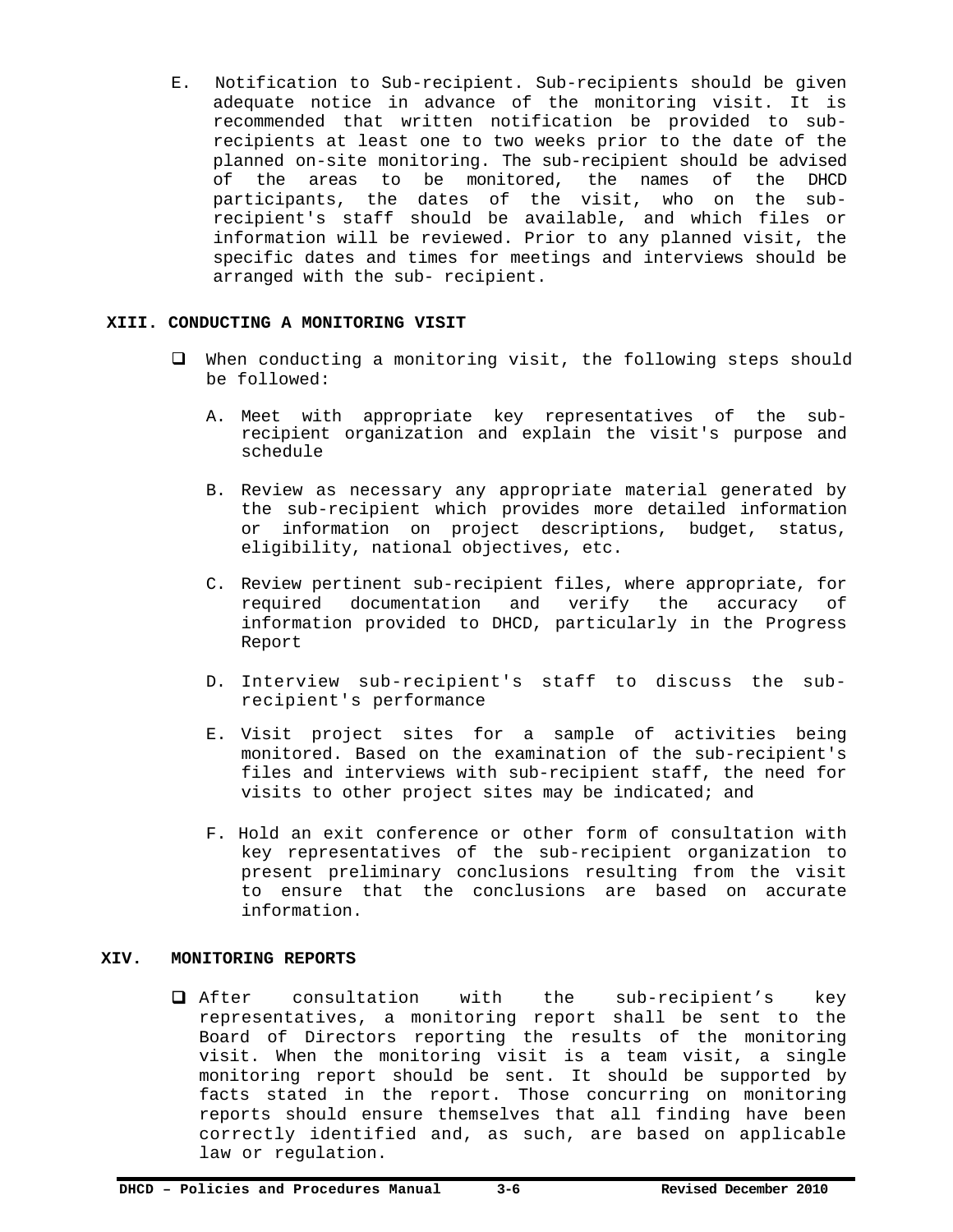E. Notification to Sub-recipient. Sub-recipients should be given adequate notice in advance of the monitoring visit. It is recommended that written notification be provided to subrecipients at least one to two weeks prior to the date of the planned on-site monitoring. The sub-recipient should be advised of the areas to be monitored, the names of the DHCD participants, the dates of the visit, who on the subrecipient's staff should be available, and which files or information will be reviewed. Prior to any planned visit, the specific dates and times for meetings and interviews should be arranged with the sub- recipient.

#### **XIII. CONDUCTING A MONITORING VISIT**

- When conducting a monitoring visit, the following steps should be followed:
	- A. Meet with appropriate key representatives of the subrecipient organization and explain the visit's purpose and schedule
	- B. Review as necessary any appropriate material generated by the sub-recipient which provides more detailed information or information on project descriptions, budget, status, eligibility, national objectives, etc.
	- C. Review pertinent sub-recipient files, where appropriate, for required documentation and verify the accuracy of information provided to DHCD, particularly in the Progress Report
	- D. Interview sub-recipient's staff to discuss the subrecipient's performance
	- E. Visit project sites for a sample of activities being monitored. Based on the examination of the sub-recipient's files and interviews with sub-recipient staff, the need for visits to other project sites may be indicated; and
	- F. Hold an exit conference or other form of consultation with key representatives of the sub-recipient organization to present preliminary conclusions resulting from the visit to ensure that the conclusions are based on accurate information.

#### **XIV. MONITORING REPORTS**

 After consultation with the sub-recipient's key representatives, a monitoring report shall be sent to the Board of Directors reporting the results of the monitoring visit. When the monitoring visit is a team visit, a single monitoring report should be sent. It should be supported by facts stated in the report. Those concurring on monitoring reports should ensure themselves that all finding have been correctly identified and, as such, are based on applicable law or regulation.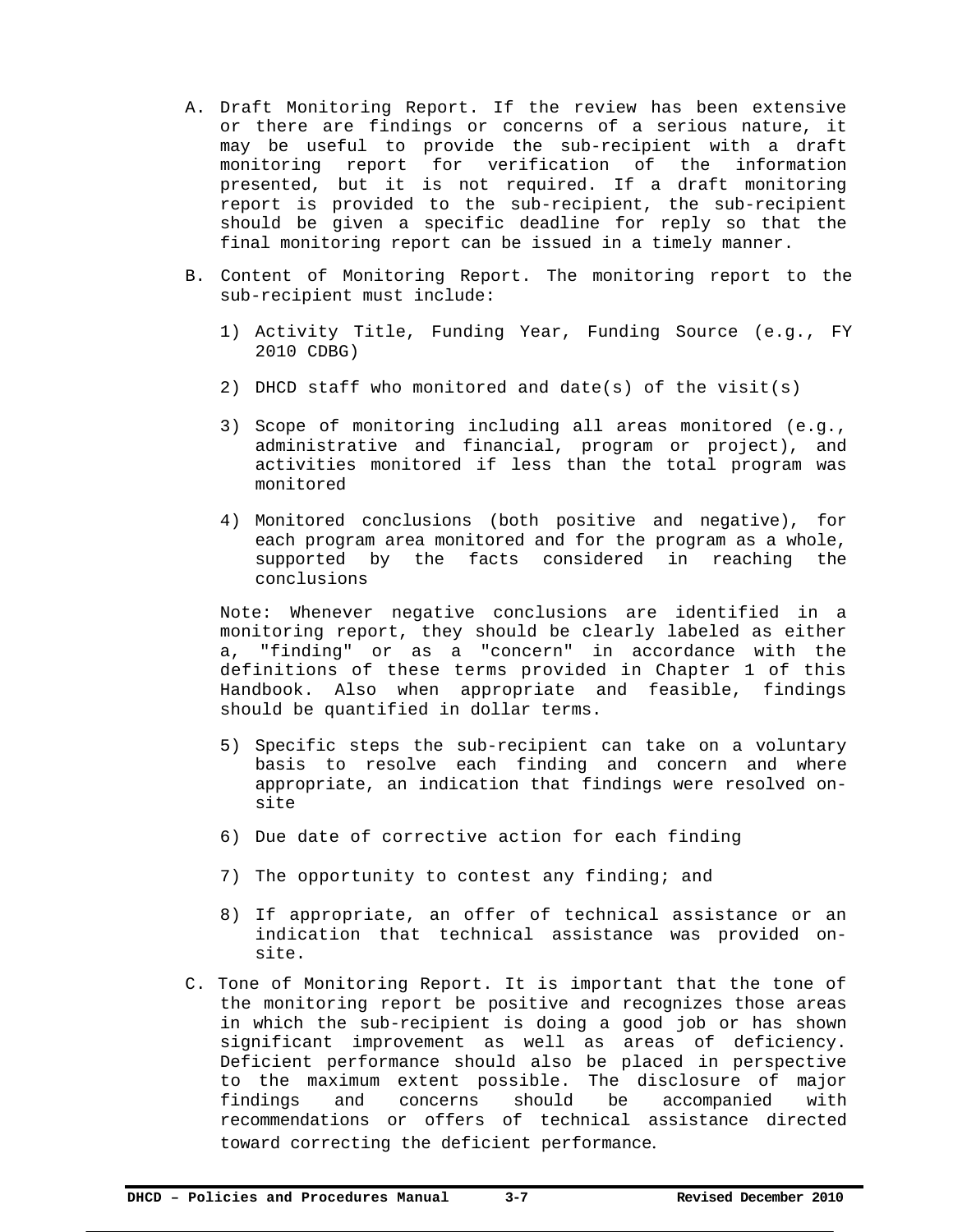- A. Draft Monitoring Report. If the review has been extensive or there are findings or concerns of a serious nature, it may be useful to provide the sub-recipient with a draft monitoring report for verification of the information presented, but it is not required. If a draft monitoring report is provided to the sub-recipient, the sub-recipient should be given a specific deadline for reply so that the final monitoring report can be issued in a timely manner.
- B. Content of Monitoring Report. The monitoring report to the sub-recipient must include:
	- 1) Activity Title, Funding Year, Funding Source (e.g., FY 2010 CDBG)
	- 2) DHCD staff who monitored and date(s) of the visit(s)
	- 3) Scope of monitoring including all areas monitored (e.g., administrative and financial, program or project), and activities monitored if less than the total program was monitored
	- 4) Monitored conclusions (both positive and negative), for each program area monitored and for the program as a whole, supported by the facts considered in reaching the conclusions

Note: Whenever negative conclusions are identified in a monitoring report, they should be clearly labeled as either a, "finding" or as a "concern" in accordance with the definitions of these terms provided in Chapter 1 of this Handbook. Also when appropriate and feasible, findings should be quantified in dollar terms.

- 5) Specific steps the sub-recipient can take on a voluntary basis to resolve each finding and concern and where appropriate, an indication that findings were resolved onsite
- 6) Due date of corrective action for each finding
- 7) The opportunity to contest any finding; and
- 8) If appropriate, an offer of technical assistance or an indication that technical assistance was provided onsite.
- C. Tone of Monitoring Report. It is important that the tone of the monitoring report be positive and recognizes those areas in which the sub-recipient is doing a good job or has shown significant improvement as well as areas of deficiency. Deficient performance should also be placed in perspective to the maximum extent possible. The disclosure of major findings and concerns should be accompanied with recommendations or offers of technical assistance directed toward correcting the deficient performance.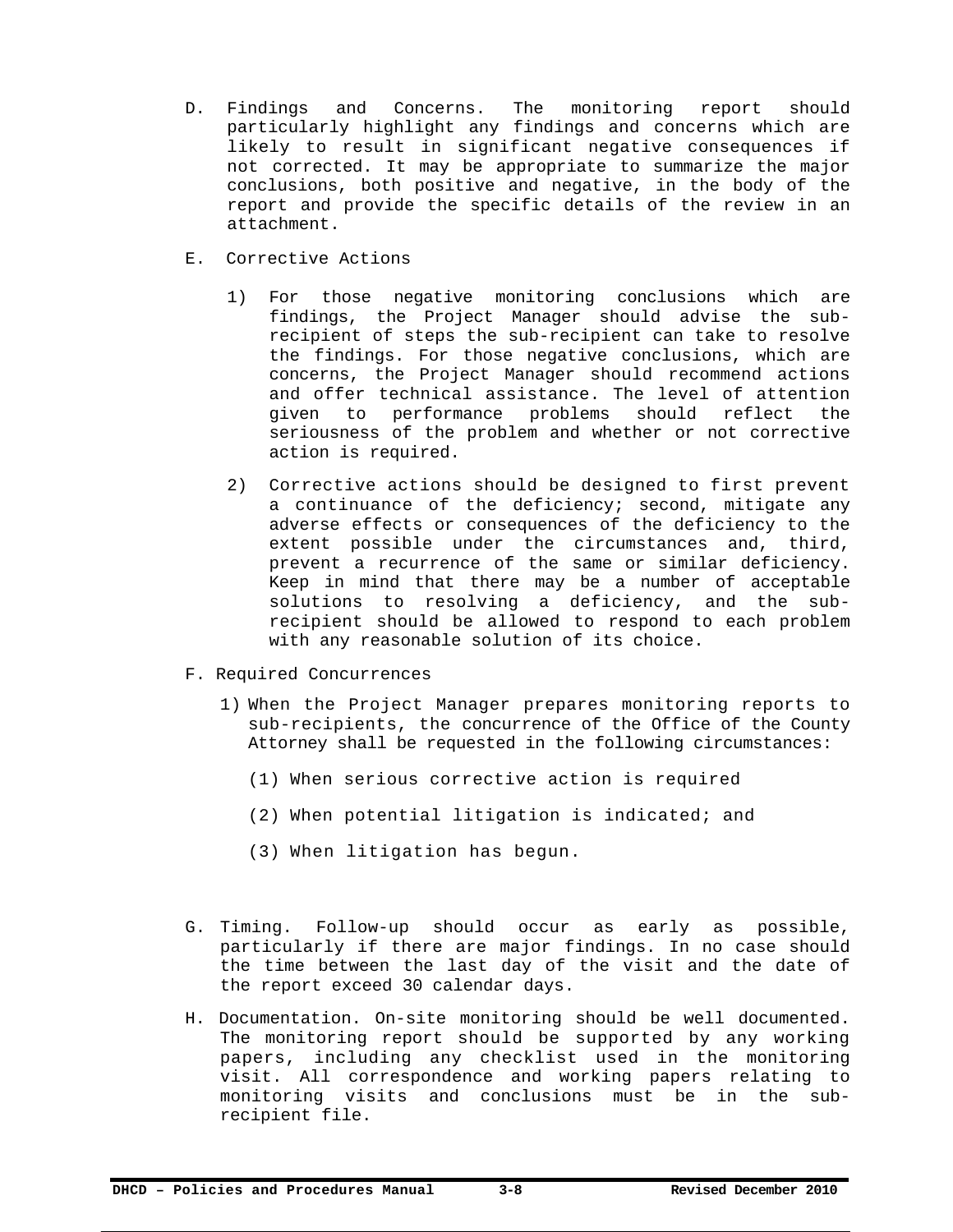- D. Findings and Concerns. The monitoring report should particularly highlight any findings and concerns which are likely to result in significant negative consequences if not corrected. It may be appropriate to summarize the major conclusions, both positive and negative, in the body of the report and provide the specific details of the review in an attachment.
- E. Corrective Actions
	- 1) For those negative monitoring conclusions which are findings, the Project Manager should advise the subrecipient of steps the sub-recipient can take to resolve the findings. For those negative conclusions, which are concerns, the Project Manager should recommend actions and offer technical assistance. The level of attention given to performance problems should reflect the seriousness of the problem and whether or not corrective action is required.
	- 2) Corrective actions should be designed to first prevent a continuance of the deficiency; second, mitigate any adverse effects or consequences of the deficiency to the extent possible under the circumstances and, third, prevent a recurrence of the same or similar deficiency. Keep in mind that there may be a number of acceptable solutions to resolving a deficiency, and the subrecipient should be allowed to respond to each problem with any reasonable solution of its choice.
- F. Required Concurrences
	- 1) When the Project Manager prepares monitoring reports to sub-recipients, the concurrence of the Office of the County Attorney shall be requested in the following circumstances:
		- (1) When serious corrective action is required
		- (2) When potential litigation is indicated; and
		- (3) When litigation has begun.
- G. Timing. Follow-up should occur as early as possible, particularly if there are major findings. In no case should the time between the last day of the visit and the date of the report exceed 30 calendar days.
- H. Documentation. On-site monitoring should be well documented. The monitoring report should be supported by any working papers, including any checklist used in the monitoring visit. All correspondence and working papers relating to monitoring visits and conclusions must be in the subrecipient file.